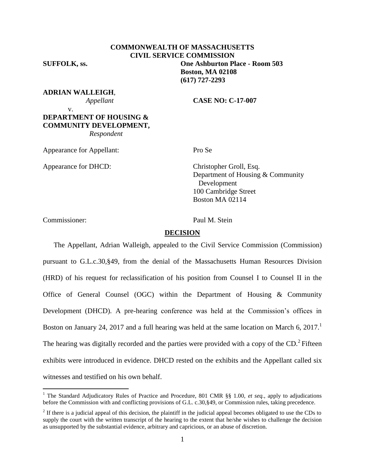**COMMONWEALTH OF MASSACHUSETTS CIVIL SERVICE COMMISSION SUFFOLK, ss. One Ashburton Place - Room 503 Boston, MA 02108 (617) 727-2293**

**ADRIAN WALLEIGH**,

 *Appellant* **CASE NO: C-17-007**

#### v. **DEPARTMENT OF HOUSING & COMMUNITY DEVELOPMENT,**  *Respondent*

Appearance for Appellant: Pro Se

Appearance for DHCD: Christopher Groll, Esq.

Department of Housing & Community Development 100 Cambridge Street Boston MA 02114

Commissioner: Paul M. Stein

 $\overline{a}$ 

#### **DECISION**

The Appellant, Adrian Walleigh, appealed to the Civil Service Commission (Commission) pursuant to G.L.c.30,§49, from the denial of the Massachusetts Human Resources Division (HRD) of his request for reclassification of his position from Counsel I to Counsel II in the Office of General Counsel (OGC) within the Department of Housing & Community Development (DHCD). A pre-hearing conference was held at the Commission's offices in Boston on January 24, 2017 and a full hearing was held at the same location on March 6, 2017.<sup>1</sup> The hearing was digitally recorded and the parties were provided with a copy of the CD.<sup>2</sup> Fifteen exhibits were introduced in evidence. DHCD rested on the exhibits and the Appellant called six witnesses and testified on his own behalf.

<sup>&</sup>lt;sup>1</sup> The Standard Adjudicatory Rules of Practice and Procedure, 801 CMR §§ 1.00, et seq., apply to adjudications before the Commission with and conflicting provisions of G.L. c.30,§49, or Commission rules, taking precedence.

 $2<sup>2</sup>$  If there is a judicial appeal of this decision, the plaintiff in the judicial appeal becomes obligated to use the CDs to supply the court with the written transcript of the hearing to the extent that he/she wishes to challenge the decision as unsupported by the substantial evidence, arbitrary and capricious, or an abuse of discretion.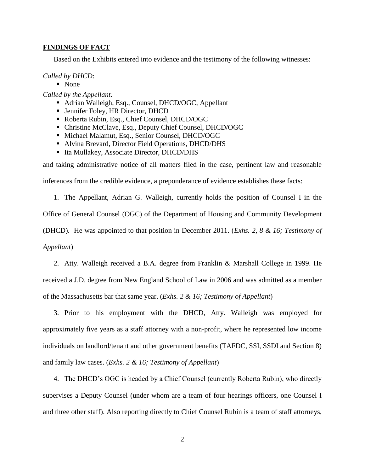#### **FINDINGS OF FACT**

Based on the Exhibits entered into evidence and the testimony of the following witnesses:

#### *Called by DHCD*:

• None

*Called by the Appellant:*

- Adrian Walleigh, Esq., Counsel, DHCD/OGC, Appellant
- Jennifer Foley, HR Director, DHCD
- Roberta Rubin, Esq., Chief Counsel, DHCD/OGC
- Christine McClave, Esq., Deputy Chief Counsel, DHCD/OGC
- Michael Malamut, Esq., Senior Counsel, DHCD/OGC
- Alvina Brevard, Director Field Operations, DHCD/DHS
- Ita Mullakey, Associate Director, DHCD/DHS

and taking administrative notice of all matters filed in the case, pertinent law and reasonable

inferences from the credible evidence, a preponderance of evidence establishes these facts:

1. The Appellant, Adrian G. Walleigh, currently holds the position of Counsel I in the Office of General Counsel (OGC) of the Department of Housing and Community Development (DHCD). He was appointed to that position in December 2011. (*Exhs. 2, 8 & 16; Testimony of Appellant*)

2. Atty. Walleigh received a B.A. degree from Franklin & Marshall College in 1999. He received a J.D. degree from New England School of Law in 2006 and was admitted as a member of the Massachusetts bar that same year. (*Exhs. 2 & 16; Testimony of Appellant*)

3. Prior to his employment with the DHCD, Atty. Walleigh was employed for approximately five years as a staff attorney with a non-profit, where he represented low income individuals on landlord/tenant and other government benefits (TAFDC, SSI, SSDI and Section 8) and family law cases. (*Exhs. 2 & 16; Testimony of Appellant*)

4. The DHCD's OGC is headed by a Chief Counsel (currently Roberta Rubin), who directly supervises a Deputy Counsel (under whom are a team of four hearings officers, one Counsel I and three other staff). Also reporting directly to Chief Counsel Rubin is a team of staff attorneys,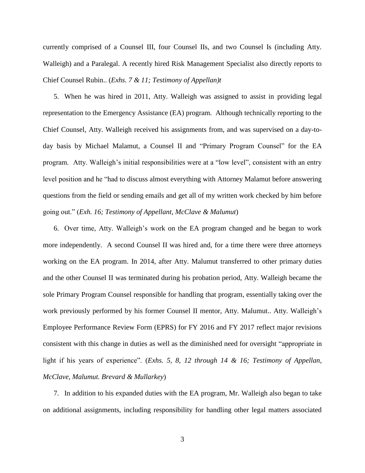currently comprised of a Counsel III, four Counsel IIs, and two Counsel Is (including Atty. Walleigh) and a Paralegal. A recently hired Risk Management Specialist also directly reports to Chief Counsel Rubin.. (*Exhs. 7 & 11; Testimony of Appellan)t*

5. When he was hired in 2011, Atty. Walleigh was assigned to assist in providing legal representation to the Emergency Assistance (EA) program. Although technically reporting to the Chief Counsel, Atty. Walleigh received his assignments from, and was supervised on a day-today basis by Michael Malamut, a Counsel II and "Primary Program Counsel" for the EA program. Atty. Walleigh's initial responsibilities were at a "low level", consistent with an entry level position and he "had to discuss almost everything with Attorney Malamut before answering questions from the field or sending emails and get all of my written work checked by him before going out." (*Exh. 16; Testimony of Appellant, McClave & Malumut*)

6. Over time, Atty. Walleigh's work on the EA program changed and he began to work more independently. A second Counsel II was hired and, for a time there were three attorneys working on the EA program. In 2014, after Atty. Malumut transferred to other primary duties and the other Counsel II was terminated during his probation period, Atty. Walleigh became the sole Primary Program Counsel responsible for handling that program, essentially taking over the work previously performed by his former Counsel II mentor, Atty. Malumut.. Atty. Walleigh's Employee Performance Review Form (EPRS) for FY 2016 and FY 2017 reflect major revisions consistent with this change in duties as well as the diminished need for oversight "appropriate in light if his years of experience". (*Exhs. 5, 8, 12 through 14 & 16; Testimony of Appellan, McClave, Malumut. Brevard & Mullarkey*)

7. In addition to his expanded duties with the EA program, Mr. Walleigh also began to take on additional assignments, including responsibility for handling other legal matters associated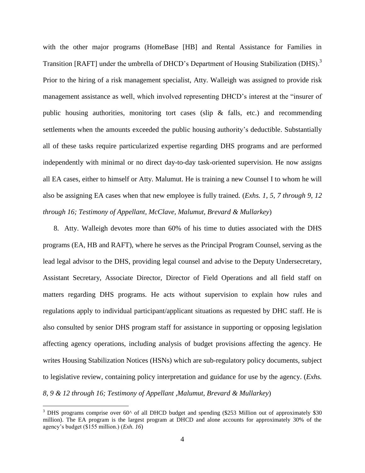with the other major programs (HomeBase [HB] and Rental Assistance for Families in Transition [RAFT] under the umbrella of DHCD's Department of Housing Stabilization (DHS).<sup>3</sup> Prior to the hiring of a risk management specialist, Atty. Walleigh was assigned to provide risk management assistance as well, which involved representing DHCD's interest at the "insurer of public housing authorities, monitoring tort cases (slip & falls, etc.) and recommending settlements when the amounts exceeded the public housing authority's deductible. Substantially all of these tasks require particularized expertise regarding DHS programs and are performed independently with minimal or no direct day-to-day task-oriented supervision. He now assigns all EA cases, either to himself or Atty. Malumut. He is training a new Counsel I to whom he will also be assigning EA cases when that new employee is fully trained. (*Exhs. 1, 5, 7 through 9, 12 through 16; Testimony of Appellant, McClave, Malumut, Brevard & Mullarkey*)

8. Atty. Walleigh devotes more than 60% of his time to duties associated with the DHS programs (EA, HB and RAFT), where he serves as the Principal Program Counsel, serving as the lead legal advisor to the DHS, providing legal counsel and advise to the Deputy Undersecretary, Assistant Secretary, Associate Director, Director of Field Operations and all field staff on matters regarding DHS programs. He acts without supervision to explain how rules and regulations apply to individual participant/applicant situations as requested by DHC staff. He is also consulted by senior DHS program staff for assistance in supporting or opposing legislation affecting agency operations, including analysis of budget provisions affecting the agency. He writes Housing Stabilization Notices (HSNs) which are sub-regulatory policy documents, subject to legislative review, containing policy interpretation and guidance for use by the agency. (*Exhs. 8, 9 & 12 through 16; Testimony of Appellant ,Malumut, Brevard & Mullarkey*)

 $\overline{a}$ 

 $3$  DHS programs comprise over 60 $\textdegree$  of all DHCD budget and spending (\$253 Million out of approximately \$30 million). The EA program is the largest program at DHCD and alone accounts for approximately 30% of the agency's budget (\$155 million.) (*Exh. 16*)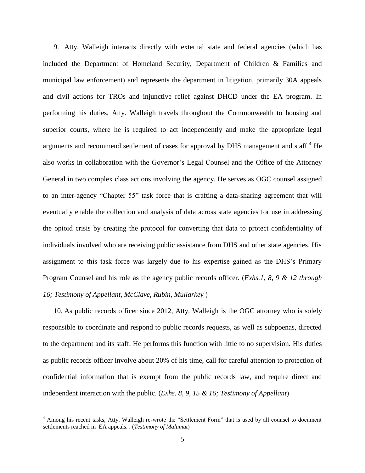9. Atty. Walleigh interacts directly with external state and federal agencies (which has included the Department of Homeland Security, Department of Children & Families and municipal law enforcement) and represents the department in litigation, primarily 30A appeals and civil actions for TROs and injunctive relief against DHCD under the EA program. In performing his duties, Atty. Walleigh travels throughout the Commonwealth to housing and superior courts, where he is required to act independently and make the appropriate legal arguments and recommend settlement of cases for approval by DHS management and staff.<sup>4</sup> He also works in collaboration with the Governor's Legal Counsel and the Office of the Attorney General in two complex class actions involving the agency. He serves as OGC counsel assigned to an inter-agency "Chapter 55" task force that is crafting a data-sharing agreement that will eventually enable the collection and analysis of data across state agencies for use in addressing the opioid crisis by creating the protocol for converting that data to protect confidentiality of individuals involved who are receiving public assistance from DHS and other state agencies. His assignment to this task force was largely due to his expertise gained as the DHS's Primary Program Counsel and his role as the agency public records officer. (*Exhs.1, 8, 9 & 12 through 16; Testimony of Appellant, McClave, Rubin, Mullarkey* )

10. As public records officer since 2012, Atty. Walleigh is the OGC attorney who is solely responsible to coordinate and respond to public records requests, as well as subpoenas, directed to the department and its staff. He performs this function with little to no supervision. His duties as public records officer involve about 20% of his time, call for careful attention to protection of confidential information that is exempt from the public records law, and require direct and independent interaction with the public. (*Exhs. 8, 9, 15 & 16; Testimony of Appellant*)

 $\overline{a}$ 

<sup>4</sup> Among his recent tasks, Atty. Walleigh re-wrote the "Settlement Form" that is used by all counsel to document settlements reached in EA appeals. . (*Testimony of Malumut*)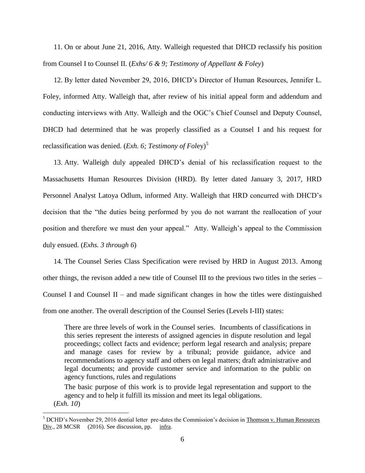11. On or about June 21, 2016, Atty. Walleigh requested that DHCD reclassify his position from Counsel I to Counsel II. (*Exhs/ 6 & 9; Testimony of Appellant & Foley*)

12. By letter dated November 29, 2016, DHCD's Director of Human Resources, Jennifer L. Foley, informed Atty. Walleigh that, after review of his initial appeal form and addendum and conducting interviews with Atty. Walleigh and the OGC's Chief Counsel and Deputy Counsel, DHCD had determined that he was properly classified as a Counsel I and his request for reclassification was denied. (*Exh. 6; Testimony of Foley*)<sup>5</sup>

13. Atty. Walleigh duly appealed DHCD's denial of his reclassification request to the Massachusetts Human Resources Division (HRD). By letter dated January 3, 2017, HRD Personnel Analyst Latoya Odlum, informed Atty. Walleigh that HRD concurred with DHCD's decision that the "the duties being performed by you do not warrant the reallocation of your position and therefore we must den your appeal." Atty. Walleigh's appeal to the Commission duly ensued. (*Exhs. 3 through 6*)

14. The Counsel Series Class Specification were revised by HRD in August 2013. Among other things, the revison added a new title of Counsel III to the previous two titles in the series – Counsel I and Counsel II – and made significant changes in how the titles were distinguished from one another. The overall description of the Counsel Series (Levels I-III) states:

There are three levels of work in the Counsel series. Incumbents of classifications in this series represent the interests of assigned agencies in dispute resolution and legal proceedings; collect facts and evidence; perform legal research and analysis; prepare and manage cases for review by a tribunal; provide guidance, advice and recommendations to agency staff and others on legal matters; draft administrative and legal documents; and provide customer service and information to the public on agency functions, rules and regulations

The basic purpose of this work is to provide legal representation and support to the agency and to help it fulfill its mission and meet its legal obligations.

(*Exh. 10*)

 $\overline{a}$ 

<sup>5</sup> DCHD's November 29, 2016 dential letter pre-dates the Commission's decision in Thomson v. Human Resources Div., 28 MCSR (2016). See discussion, pp. infra.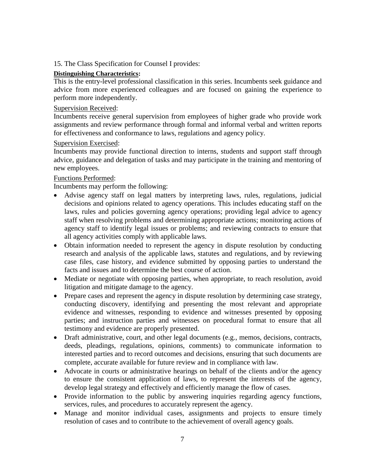15. The Class Specification for Counsel I provides:

# **Distinguishing Characteristics:**

This is the entry-level professional classification in this series. Incumbents seek guidance and advice from more experienced colleagues and are focused on gaining the experience to perform more independently.

# Supervision Received:

Incumbents receive general supervision from employees of higher grade who provide work assignments and review performance through formal and informal verbal and written reports for effectiveness and conformance to laws, regulations and agency policy.

# Supervision Exercised:

Incumbents may provide functional direction to interns, students and support staff through advice, guidance and delegation of tasks and may participate in the training and mentoring of new employees.

# Functions Performed:

Incumbents may perform the following:

- Advise agency staff on legal matters by interpreting laws, rules, regulations, judicial decisions and opinions related to agency operations. This includes educating staff on the laws, rules and policies governing agency operations; providing legal advice to agency staff when resolving problems and determining appropriate actions; monitoring actions of agency staff to identify legal issues or problems; and reviewing contracts to ensure that all agency activities comply with applicable laws.
- Obtain information needed to represent the agency in dispute resolution by conducting research and analysis of the applicable laws, statutes and regulations, and by reviewing case files, case history, and evidence submitted by opposing parties to understand the facts and issues and to determine the best course of action.
- Mediate or negotiate with opposing parties, when appropriate, to reach resolution, avoid litigation and mitigate damage to the agency.
- Prepare cases and represent the agency in dispute resolution by determining case strategy, conducting discovery, identifying and presenting the most relevant and appropriate evidence and witnesses, responding to evidence and witnesses presented by opposing parties; and instruction parties and witnesses on procedural format to ensure that all testimony and evidence are properly presented.
- Draft administrative, court, and other legal documents (e.g., memos, decisions, contracts, deeds, pleadings, regulations, opinions, comments) to communicate information to interested parties and to record outcomes and decisions, ensuring that such documents are complete, accurate available for future review and in compliance with law.
- Advocate in courts or administrative hearings on behalf of the clients and/or the agency to ensure the consistent application of laws, to represent the interests of the agency, develop legal strategy and effectively and efficiently manage the flow of cases.
- Provide information to the public by answering inquiries regarding agency functions, services, rules, and procedures to accurately represent the agency.
- Manage and monitor individual cases, assignments and projects to ensure timely resolution of cases and to contribute to the achievement of overall agency goals.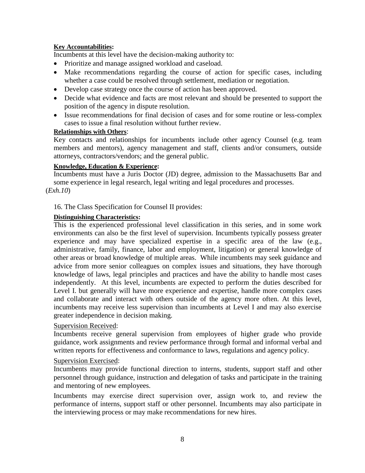## **Key Accountabilities:**

Incumbents at this level have the decision-making authority to:

- Prioritize and manage assigned workload and caseload.
- Make recommendations regarding the course of action for specific cases, including whether a case could be resolved through settlement, mediation or negotiation.
- Develop case strategy once the course of action has been approved.
- Decide what evidence and facts are most relevant and should be presented to support the position of the agency in dispute resolution.
- Issue recommendations for final decision of cases and for some routine or less-complex cases to issue a final resolution without further review.

## **Relationships with Others**:

Key contacts and relationships for incumbents include other agency Counsel (e.g. team members and mentors), agency management and staff, clients and/or consumers, outside attorneys, contractors/vendors; and the general public.

#### **Knowledge, Education & Experience:**

Incumbents must have a Juris Doctor (JD) degree, admission to the Massachusetts Bar and some experience in legal research, legal writing and legal procedures and processes. (*Exh.10*)

# 16. The Class Specification for Counsel II provides:

## **Distinguishing Characteristics:**

This is the experienced professional level classification in this series, and in some work environments can also be the first level of supervision. Incumbents typically possess greater experience and may have specialized expertise in a specific area of the law (e.g., administrative, family, finance, labor and employment, litigation) or general knowledge of other areas or broad knowledge of multiple areas. While incumbents may seek guidance and advice from more senior colleagues on complex issues and situations, they have thorough knowledge of laws, legal principles and practices and have the ability to handle most cases independently. At this level, incumbents are expected to perform the duties described for Level I. but generally will have more experience and expertise, handle more complex cases and collaborate and interact with others outside of the agency more often. At this level, incumbents may receive less supervision than incumbents at Level I and may also exercise greater independence in decision making.

## Supervision Received:

Incumbents receive general supervision from employees of higher grade who provide guidance, work assignments and review performance through formal and informal verbal and written reports for effectiveness and conformance to laws, regulations and agency policy.

## Supervision Exercised:

Incumbents may provide functional direction to interns, students, support staff and other personnel through guidance, instruction and delegation of tasks and participate in the training and mentoring of new employees.

Incumbents may exercise direct supervision over, assign work to, and review the performance of interns, support staff or other personnel. Incumbents may also participate in the interviewing process or may make recommendations for new hires.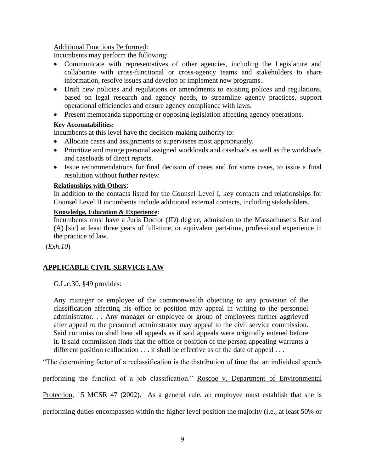### Additional Functions Performed:

Incumbents may perform the following:

- Communicate with representatives of other agencies, including the Legislature and collaborate with cross-functional or cross-agency teams and stakeholders to share information, resolve issues and develop or implement new programs..
- Draft new policies and regulations or amendments to existing polices and regulations, based on legal research and agency needs, to streamline agency practices, support operational efficiencies and ensure agency compliance with laws.
- Present memoranda supporting or opposing legislation affecting agency operations.

## **Key Accountabilities:**

Incumbents at this level have the decision-making authority to:

- Allocate cases and assignments to supervisees most appropriately.
- Prioritize and mange personal assigned workloads and caseloads as well as the workloads and caseloads of direct reports.
- Issue recommendations for final decision of cases and for some cases, to issue a final resolution without further review.

#### **Relationships with Others**:

In addition to the contacts listed for the Counsel Level I, key contacts and relationships for Counsel Level II incumbents include additional external contacts, including stakeholders.

## **Knowledge, Education & Experience:**

Incumbents must have a Juris Doctor (JD) degree, admission to the Massachusetts Bar and (A) [sic] at least three years of full-time, or equivalent part-time, professional experience in the practice of law.

(*Exh.10*)

# **APPLICABLE CIVIL SERVICE LAW**

G.L.c.30, §49 provides:

Any manager or employee of the commonwealth objecting to any provision of the classification affecting his office or position may appeal in writing to the personnel administrator. . . Any manager or employee or group of employees further aggrieved after appeal to the personnel administrator may appeal to the civil service commission. Said commission shall hear all appeals as if said appeals were originally entered before it. If said commission finds that the office or position of the person appealing warrants a different position reallocation . . . it shall be effective as of the date of appeal . . .

"The determining factor of a reclassification is the distribution of time that an individual spends

performing the function of a job classification." Roscoe v. Department of Environmental

Protection, 15 MCSR 47 (2002). As a general rule, an employee must establish that she is

performing duties encompassed within the higher level position the majority (i.e., at least 50% or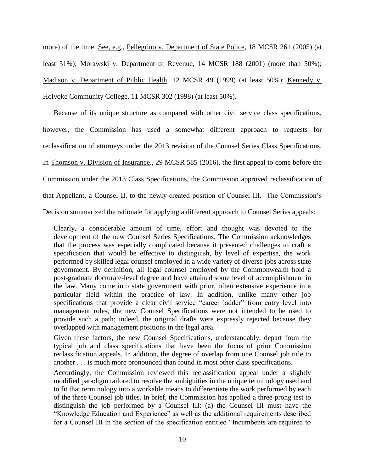more) of the time. See, e.g., Pellegrino v. Department of State Police, 18 MCSR 261 (2005) (at least 51%); Morawski v. Department of Revenue, 14 MCSR 188 (2001) (more than 50%); Madison v. Department of Public Health, 12 MCSR 49 (1999) (at least 50%); Kennedy v. Holyoke Community College, 11 MCSR 302 (1998) (at least 50%).

Because of its unique structure as compared with other civil service class specifications, however, the Commission has used a somewhat different approach to requests for reclassification of attorneys under the 2013 revision of the Counsel Series Class Specifications. In Thomson v. Division of Insurance., 29 MCSR 585 (2016), the first appeal to come before the Commission under the 2013 Class Specifications, the Commission approved reclassification of that Appellant, a Counsel II, to the newly-created position of Counsel III. The Commission's Decision summarized the rationale for applying a different approach to Counsel Series appeals:

Clearly, a considerable amount of time, effort and thought was devoted to the development of the new Counsel Series Specifications. The Commission acknowledges that the process was especially complicated because it presented challenges to craft a specification that would be effective to distinguish, by level of expertise, the work performed by skilled legal counsel employed in a wide variety of diverse jobs across state government. By definition, all legal counsel employed by the Commonwealth hold a post-graduate doctorate-level degree and have attained some level of accomplishment in the law. Many come into state government with prior, often extensive experience in a particular field within the practice of law. In addition, unlike many other job specifications that provide a clear civil service "career ladder" from entry level into management roles, the new Counsel Specifications were not intended to be used to provide such a path; indeed, the original drafts were expressly rejected because they overlapped with management positions in the legal area.

Given these factors, the new Counsel Specifications, understandably, depart from the typical job and class specifications that have been the focus of prior Commission reclassification appeals. In addition, the degree of overlap from one Counsel job title to another . . . is much more pronounced than found in most other class specifications.

Accordingly, the Commission reviewed this reclassification appeal under a slightly modified paradigm tailored to resolve the ambiguities in the unique terminology used and to fit that terminology into a workable means to differentiate the work performed by each of the three Counsel job titles. In brief, the Commission has applied a three-prong test to distinguish the job performed by a Counsel III: (a) the Counsel III must have the "Knowledge Education and Experience" as well as the additional requirements described for a Counsel III in the section of the specification entitled "Incumbents are required to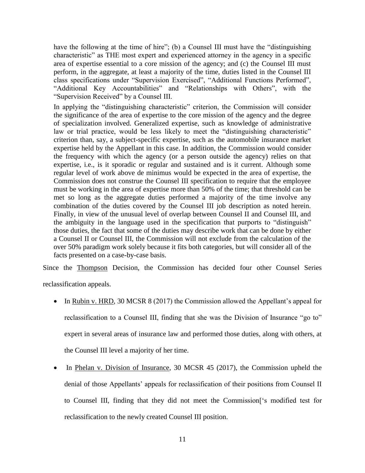have the following at the time of hire"; (b) a Counsel III must have the "distinguishing characteristic" as THE most expert and experienced attorney in the agency in a specific area of expertise essential to a core mission of the agency; and (c) the Counsel III must perform, in the aggregate, at least a majority of the time, duties listed in the Counsel III class specifications under "Supervision Exercised", "Additional Functions Performed", "Additional Key Accountabilities" and "Relationships with Others", with the "Supervision Received" by a Counsel III.

In applying the "distinguishing characteristic" criterion, the Commission will consider the significance of the area of expertise to the core mission of the agency and the degree of specialization involved. Generalized expertise, such as knowledge of administrative law or trial practice, would be less likely to meet the "distinguishing characteristic" criterion than, say, a subject-specific expertise, such as the automobile insurance market expertise held by the Appellant in this case. In addition, the Commission would consider the frequency with which the agency (or a person outside the agency) relies on that expertise, i.e., is it sporadic or regular and sustained and is it current. Although some regular level of work above de minimus would be expected in the area of expertise, the Commission does not construe the Counsel III specification to require that the employee must be working in the area of expertise more than 50% of the time; that threshold can be met so long as the aggregate duties performed a majority of the time involve any combination of the duties covered by the Counsel III job description as noted herein. Finally, in view of the unusual level of overlap between Counsel II and Counsel III, and the ambiguity in the language used in the specification that purports to "distinguish" those duties, the fact that some of the duties may describe work that can be done by either a Counsel II or Counsel III, the Commission will not exclude from the calculation of the over 50% paradigm work solely because it fits both categories, but will consider all of the facts presented on a case-by-case basis.

Since the Thompson Decision, the Commission has decided four other Counsel Series

reclassification appeals.

- In Rubin v. HRD, 30 MCSR 8 (2017) the Commission allowed the Appellant's appeal for reclassification to a Counsel III, finding that she was the Division of Insurance "go to" expert in several areas of insurance law and performed those duties, along with others, at the Counsel III level a majority of her time.
- In Phelan v. Division of Insurance, 30 MCSR 45 (2017), the Commission upheld the denial of those Appellants' appeals for reclassification of their positions from Counsel II to Counsel III, finding that they did not meet the Commission['s modified test for reclassification to the newly created Counsel III position.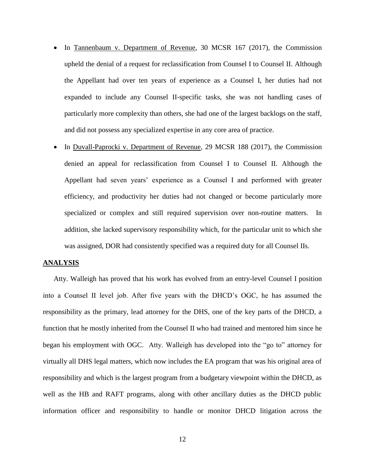- In Tannenbaum v. Department of Revenue, 30 MCSR 167 (2017), the Commission upheld the denial of a request for reclassification from Counsel I to Counsel II. Although the Appellant had over ten years of experience as a Counsel I, her duties had not expanded to include any Counsel II-specific tasks, she was not handling cases of particularly more complexity than others, she had one of the largest backlogs on the staff, and did not possess any specialized expertise in any core area of practice.
- In Duvall-Paprocki v. Department of Revenue, 29 MCSR 188 (2017), the Commission denied an appeal for reclassification from Counsel I to Counsel II. Although the Appellant had seven years' experience as a Counsel I and performed with greater efficiency, and productivity her duties had not changed or become particularly more specialized or complex and still required supervision over non-routine matters. In addition, she lacked supervisory responsibility which, for the particular unit to which she was assigned, DOR had consistently specified was a required duty for all Counsel IIs.

#### **ANALYSIS**

Atty. Walleigh has proved that his work has evolved from an entry-level Counsel I position into a Counsel II level job. After five years with the DHCD's OGC, he has assumed the responsibility as the primary, lead attorney for the DHS, one of the key parts of the DHCD, a function that he mostly inherited from the Counsel II who had trained and mentored him since he began his employment with OGC. Atty. Walleigh has developed into the "go to" attorney for virtually all DHS legal matters, which now includes the EA program that was his original area of responsibility and which is the largest program from a budgetary viewpoint within the DHCD, as well as the HB and RAFT programs, along with other ancillary duties as the DHCD public information officer and responsibility to handle or monitor DHCD litigation across the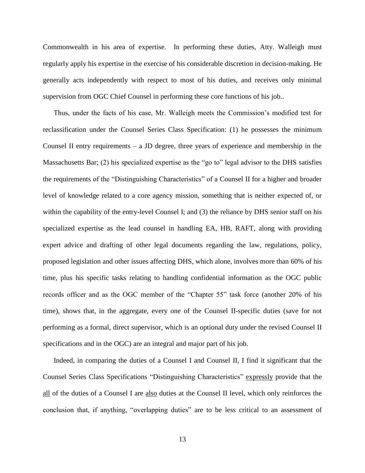Commonwealth in his area of expertise. In performing these duties, Atty. Walleigh must regularly apply his expertise in the exercise of his considerable discretion in decision-making. He generally acts independently with respect to most of his duties, and receives only minimal supervision from OGC Chief Counsel in performing these core functions of his job..

Thus, under the facts of his case, Mr. Walleigh meets the Commission's modified test for reclassification under the Counsel Series Class Specification: (1) he possesses the minimum Counsel II entry requirements – a JD degree, three years of experience and membership in the Massachusetts Bar; (2) his specialized expertise as the "go to" legal advisor to the DHS satisfies the requirements of the "Distinguishing Characteristics" of a Counsel II for a higher and broader level of knowledge related to a core agency mission, something that is neither expected of, or within the capability of the entry-level Counsel I; and (3) the reliance by DHS senior staff on his specialized expertise as the lead counsel in handling EA, HB, RAFT, along with providing expert advice and drafting of other legal documents regarding the law, regulations, policy, proposed legislation and other issues affecting DHS, which alone, involves more than 60% of his time, plus his specific tasks relating to handling confidential information as the OGC public records officer and as the OGC member of the "Chapter 55" task force (another 20% of his time), shows that, in the aggregate, every one of the Counsel II-specific duties (save for not performing as a formal, direct supervisor, which is an optional duty under the revised Counsel II specifications and in the OGC) are an integral and major part of his job.

Indeed, in comparing the duties of a Counsel I and Counsel II, I find it significant that the Counsel Series Class Specifications "Distinguishing Characteristics" expressly provide that the all of the duties of a Counsel I are also duties at the Counsel II level, which only reinforces the conclusion that, if anything, "overlapping duties" are to be less critical to an assessment of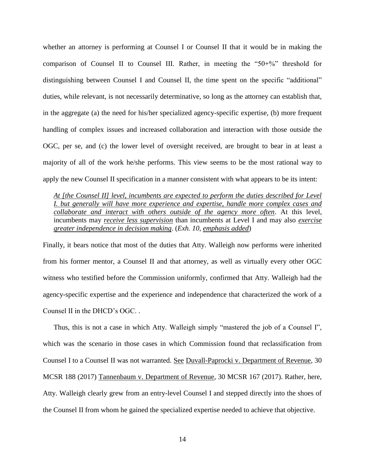whether an attorney is performing at Counsel I or Counsel II that it would be in making the comparison of Counsel II to Counsel III. Rather, in meeting the "50+%" threshold for distinguishing between Counsel I and Counsel II, the time spent on the specific "additional" duties, while relevant, is not necessarily determinative, so long as the attorney can establish that, in the aggregate (a) the need for his/her specialized agency-specific expertise, (b) more frequent handling of complex issues and increased collaboration and interaction with those outside the OGC, per se, and (c) the lower level of oversight received, are brought to bear in at least a majority of all of the work he/she performs. This view seems to be the most rational way to apply the new Counsel II specification in a manner consistent with what appears to be its intent:

*At [the Counsel II] level, incumbents are expected to perform the duties described for Level I. but generally will have more experience and expertise, handle more complex cases and collaborate and interact with others outside of the agency more often*. At this level, incumbents may *receive less supervision* than incumbents at Level I and may also *exercise greater independence in decision making*. (*Exh. 10, emphasis added*)

Finally, it bears notice that most of the duties that Atty. Walleigh now performs were inherited from his former mentor, a Counsel II and that attorney, as well as virtually every other OGC witness who testified before the Commission uniformly, confirmed that Atty. Walleigh had the agency-specific expertise and the experience and independence that characterized the work of a Counsel II in the DHCD's OGC. .

Thus, this is not a case in which Atty. Walleigh simply "mastered the job of a Counsel I", which was the scenario in those cases in which Commission found that reclassification from Counsel I to a Counsel II was not warranted. See Duvall-Paprocki v. Department of Revenue, 30 MCSR 188 (2017) Tannenbaum v. Department of Revenue, 30 MCSR 167 (2017). Rather, here, Atty. Walleigh clearly grew from an entry-level Counsel I and stepped directly into the shoes of the Counsel II from whom he gained the specialized expertise needed to achieve that objective.